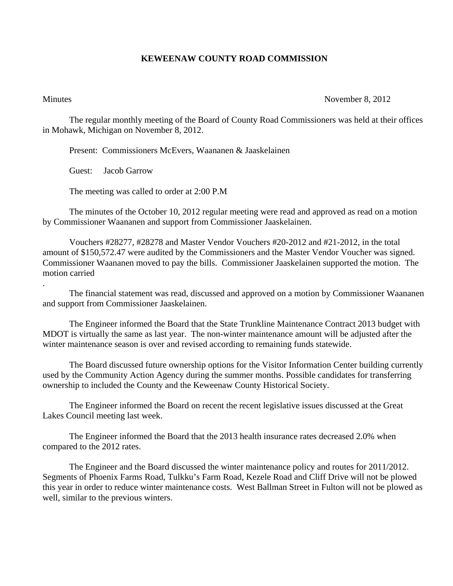## **KEWEENAW COUNTY ROAD COMMISSION**

.

## Minutes November 8, 2012

The regular monthly meeting of the Board of County Road Commissioners was held at their offices in Mohawk, Michigan on November 8, 2012.

Present: Commissioners McEvers, Waananen & Jaaskelainen

Guest: Jacob Garrow

The meeting was called to order at 2:00 P.M

 The minutes of the October 10, 2012 regular meeting were read and approved as read on a motion by Commissioner Waananen and support from Commissioner Jaaskelainen.

 Vouchers #28277, #28278 and Master Vendor Vouchers #20-2012 and #21-2012, in the total amount of \$150,572.47 were audited by the Commissioners and the Master Vendor Voucher was signed. Commissioner Waananen moved to pay the bills. Commissioner Jaaskelainen supported the motion. The motion carried

 The financial statement was read, discussed and approved on a motion by Commissioner Waananen and support from Commissioner Jaaskelainen.

 The Engineer informed the Board that the State Trunkline Maintenance Contract 2013 budget with MDOT is virtually the same as last year. The non-winter maintenance amount will be adjusted after the winter maintenance season is over and revised according to remaining funds statewide.

 The Board discussed future ownership options for the Visitor Information Center building currently used by the Community Action Agency during the summer months. Possible candidates for transferring ownership to included the County and the Keweenaw County Historical Society.

 The Engineer informed the Board on recent the recent legislative issues discussed at the Great Lakes Council meeting last week.

 The Engineer informed the Board that the 2013 health insurance rates decreased 2.0% when compared to the 2012 rates.

 The Engineer and the Board discussed the winter maintenance policy and routes for 2011/2012. Segments of Phoenix Farms Road, Tulkku's Farm Road, Kezele Road and Cliff Drive will not be plowed this year in order to reduce winter maintenance costs. West Ballman Street in Fulton will not be plowed as well, similar to the previous winters.